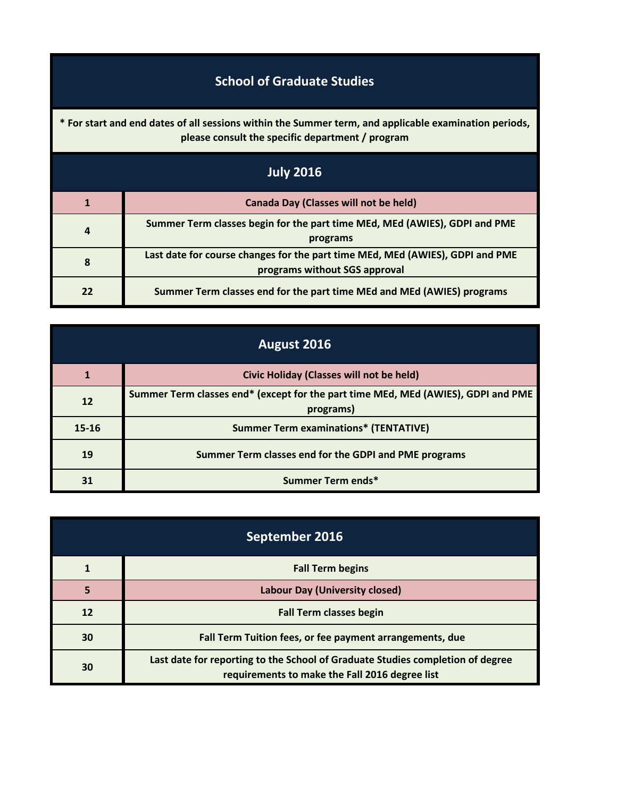## **School of Graduate Studies**

**\* For start and end dates of all sessions within the Summer term, and applicable examination periods, please consult the specific department / program**

| <b>July 2016</b> |                                                                                                                |
|------------------|----------------------------------------------------------------------------------------------------------------|
|                  | Canada Day (Classes will not be held)                                                                          |
| 4                | Summer Term classes begin for the part time MEd, MEd (AWIES), GDPI and PME<br>programs                         |
| 8                | Last date for course changes for the part time MEd, MEd (AWIES), GDPI and PME<br>programs without SGS approval |
| 22               | Summer Term classes end for the part time MEd and MEd (AWIES) programs                                         |

| August 2016 |                                                                                                |
|-------------|------------------------------------------------------------------------------------------------|
|             | <b>Civic Holiday (Classes will not be held)</b>                                                |
| 12          | Summer Term classes end* (except for the part time MEd, MEd (AWIES), GDPI and PME<br>programs) |
| $15 - 16$   | <b>Summer Term examinations* (TENTATIVE)</b>                                                   |
| 19          | Summer Term classes end for the GDPI and PME programs                                          |
| 31          | Summer Term ends*                                                                              |

| September 2016 |                                                                                                                                  |
|----------------|----------------------------------------------------------------------------------------------------------------------------------|
|                | <b>Fall Term begins</b>                                                                                                          |
| 5              | Labour Day (University closed)                                                                                                   |
| 12             | <b>Fall Term classes begin</b>                                                                                                   |
| 30             | Fall Term Tuition fees, or fee payment arrangements, due                                                                         |
| 30             | Last date for reporting to the School of Graduate Studies completion of degree<br>requirements to make the Fall 2016 degree list |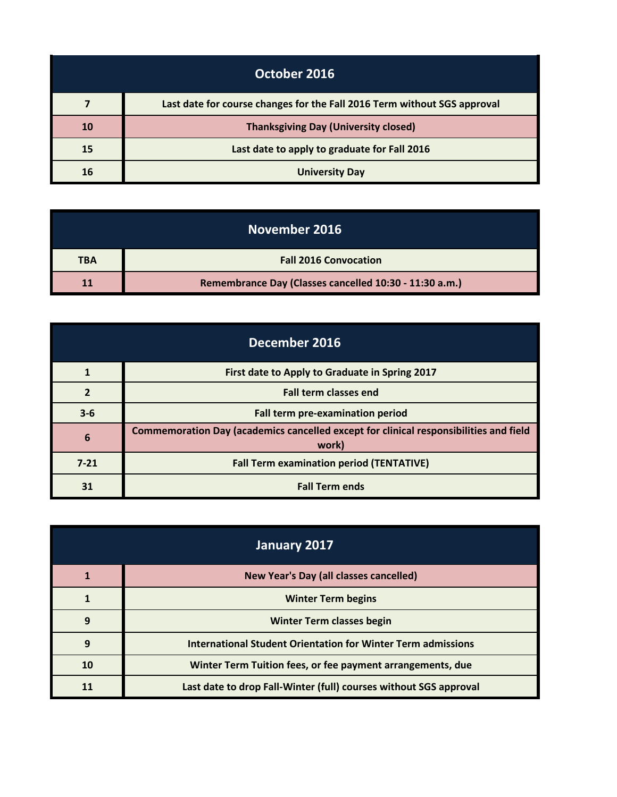| October 2016 |                                                                          |
|--------------|--------------------------------------------------------------------------|
|              | Last date for course changes for the Fall 2016 Term without SGS approval |
| <b>10</b>    | <b>Thanksgiving Day (University closed)</b>                              |
| 15           | Last date to apply to graduate for Fall 2016                             |
| 16           | <b>University Day</b>                                                    |

| November 2016 |                                                        |
|---------------|--------------------------------------------------------|
| <b>TBA</b>    | <b>Fall 2016 Convocation</b>                           |
|               | Remembrance Day (Classes cancelled 10:30 - 11:30 a.m.) |

| December 2016 |                                                                                                |
|---------------|------------------------------------------------------------------------------------------------|
|               | First date to Apply to Graduate in Spring 2017                                                 |
|               | <b>Fall term classes end</b>                                                                   |
| $3 - 6$       | Fall term pre-examination period                                                               |
| 6             | Commemoration Day (academics cancelled except for clinical responsibilities and field<br>work) |
| $7 - 21$      | <b>Fall Term examination period (TENTATIVE)</b>                                                |
| 31            | <b>Fall Term ends</b>                                                                          |

| January 2017 |                                                                   |
|--------------|-------------------------------------------------------------------|
|              | <b>New Year's Day (all classes cancelled)</b>                     |
|              | <b>Winter Term begins</b>                                         |
| 9            | <b>Winter Term classes begin</b>                                  |
| 9            | International Student Orientation for Winter Term admissions      |
| 10           | Winter Term Tuition fees, or fee payment arrangements, due        |
|              | Last date to drop Fall-Winter (full) courses without SGS approval |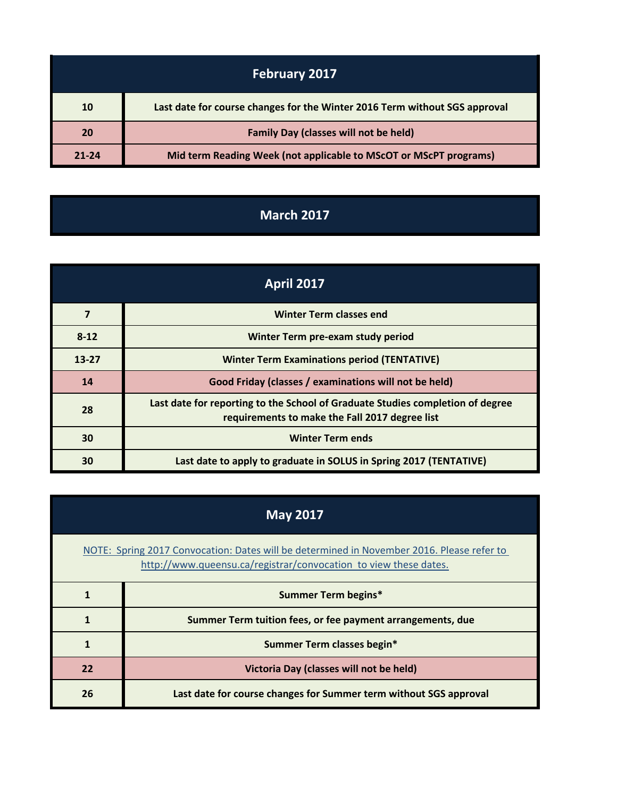| <b>February 2017</b> |                                                                            |
|----------------------|----------------------------------------------------------------------------|
| 10                   | Last date for course changes for the Winter 2016 Term without SGS approval |
| 20                   | <b>Family Day (classes will not be held)</b>                               |
| 21-24                | Mid term Reading Week (not applicable to MScOT or MScPT programs)          |

## **March 2017**

| <b>April 2017</b> |                                                                                                                                  |
|-------------------|----------------------------------------------------------------------------------------------------------------------------------|
| 7                 | <b>Winter Term classes end</b>                                                                                                   |
| $8 - 12$          | Winter Term pre-exam study period                                                                                                |
| $13 - 27$         | <b>Winter Term Examinations period (TENTATIVE)</b>                                                                               |
| 14                | Good Friday (classes / examinations will not be held)                                                                            |
| 28                | Last date for reporting to the School of Graduate Studies completion of degree<br>requirements to make the Fall 2017 degree list |
| 30                | <b>Winter Term ends</b>                                                                                                          |
| 30                | Last date to apply to graduate in SOLUS in Spring 2017 (TENTATIVE)                                                               |

| <b>May 2017</b>                                                                                                                                               |                                                                   |
|---------------------------------------------------------------------------------------------------------------------------------------------------------------|-------------------------------------------------------------------|
| NOTE: Spring 2017 Convocation: Dates will be determined in November 2016. Please refer to<br>http://www.queensu.ca/registrar/convocation to view these dates. |                                                                   |
|                                                                                                                                                               | <b>Summer Term begins*</b>                                        |
|                                                                                                                                                               | Summer Term tuition fees, or fee payment arrangements, due        |
| 1                                                                                                                                                             | Summer Term classes begin*                                        |
| 22                                                                                                                                                            | Victoria Day (classes will not be held)                           |
| 26                                                                                                                                                            | Last date for course changes for Summer term without SGS approval |